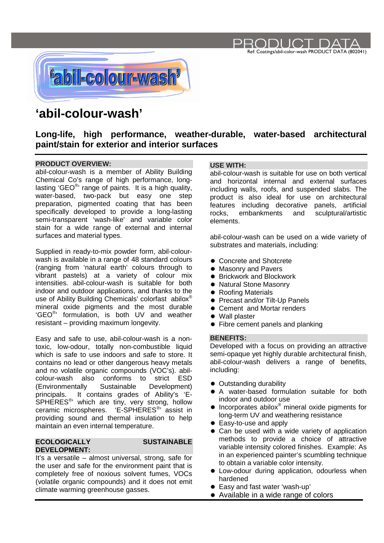

# **'abil-colour-wash'**

## **Long-life, high performance, weather-durable, water-based architectural paint/stain for exterior and interior surfaces**

### **PRODUCT OVERVIEW:**

abil-colour-wash is a member of Ability Building Chemical Co's range of high performance, longlasting 'GEO<sup>®</sup>' range of paints. It is a high quality, water-based, two-pack but easy one step preparation, pigmented coating that has been specifically developed to provide a long-lasting semi-transparent 'wash-like' and variable color stain for a wide range of external and internal surfaces and material types.

Supplied in ready-to-mix powder form, abil-colourwash is available in a range of 48 standard colours (ranging from 'natural earth' colours through to vibrant pastels) at a variety of colour mix intensities. abil-colour-wash is suitable for both indoor and outdoor applications, and thanks to the use of Ability Building Chemicals' colorfast abilox ® mineral oxide pigments and the most durable 'GEO® ' formulation, is both UV and weather resistant – providing maximum longevity.

Easy and safe to use, abil-colour-wash is a nontoxic, low-odour, totally non-combustible liquid which is safe to use indoors and safe to store. It contains no lead or other dangerous heavy metals and no volatile organic compounds (VOC's). abilcolour-wash also conforms to strict ESD (Environmentally Sustainable Development) principals. It contains grades of Ability's 'E-SPHERES<sup>®</sup> which are tiny, very strong, hollow ceramic microspheres. 'E-SPHERES<sup>®</sup>' assist in providing sound and thermal insulation to help maintain an even internal temperature.

#### **ECOLOGICALLY SUSTAINABLE DEVELOPMENT:**

It's a versatile – almost universal, strong, safe for the user and safe for the environment paint that is completely free of noxious solvent fumes, VOCs (volatile organic compounds) and it does not emit climate warming greenhouse gasses.

### **USE WITH:**

abil-colour-wash is suitable for use on both vertical and horizontal internal and external surfaces including walls, roofs, and suspended slabs. The product is also ideal for use on architectural features including decorative panels, artificial rocks, embankments and sculptural/artistic elements.

Ref: Coatings/abil-color-wash PRODUCT DATA (802041)

JC 5 I

abil-colour-wash can be used on a wide variety of substrates and materials, including:

- **♦ Concrete and Shotcrete**
- **Masonry and Pavers**
- $#$  **Brickwork and Blockwork**
- \* Natural Stone Masonry
- \* Roofing Materials
- **Exercise Filt-Up Panels**
- **EXEC** Cement and Mortar renders
- Wall plaster
- Fibre cement panels and planking

### **BENEFITS:**

Developed with a focus on providing an attractive semi-opaque yet highly durable architectural finish, abil-colour-wash delivers a range of benefits, including:

- $#$  **Outstanding durability**
- A water-based formulation suitable for both indoor and outdoor use
- $*$  Incorporates abilox® mineral oxide pigments for long-term UV and weathering resistance
- **Easy-to-use and apply**
- \* Can be used with a wide variety of application methods to provide a choice of attractive variable intensity colored finishes. Example: As in an experienced painter's scumbling technique to obtain a variable color intensity.
- \* Low-odour during application, odourless when hardened
- Easy and fast water 'wash-up'
- \* Available in a wide range of colors